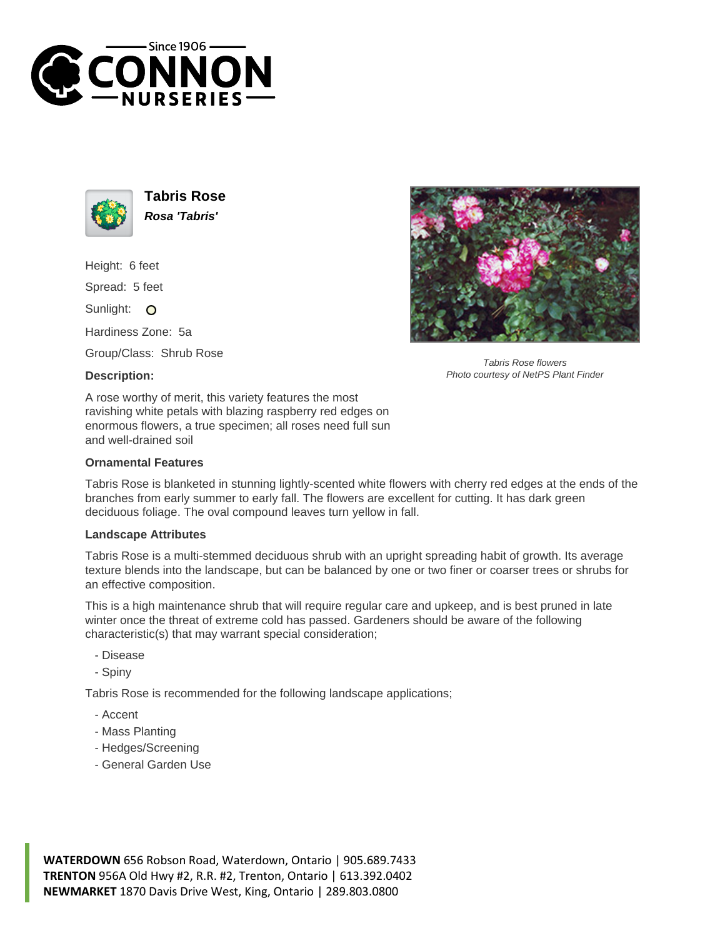



**Tabris Rose Rosa 'Tabris'**

Height: 6 feet

Spread: 5 feet

Sunlight: O

Hardiness Zone: 5a

Group/Class: Shrub Rose

## **Description:**



Tabris Rose flowers Photo courtesy of NetPS Plant Finder

A rose worthy of merit, this variety features the most ravishing white petals with blazing raspberry red edges on enormous flowers, a true specimen; all roses need full sun and well-drained soil

## **Ornamental Features**

Tabris Rose is blanketed in stunning lightly-scented white flowers with cherry red edges at the ends of the branches from early summer to early fall. The flowers are excellent for cutting. It has dark green deciduous foliage. The oval compound leaves turn yellow in fall.

## **Landscape Attributes**

Tabris Rose is a multi-stemmed deciduous shrub with an upright spreading habit of growth. Its average texture blends into the landscape, but can be balanced by one or two finer or coarser trees or shrubs for an effective composition.

This is a high maintenance shrub that will require regular care and upkeep, and is best pruned in late winter once the threat of extreme cold has passed. Gardeners should be aware of the following characteristic(s) that may warrant special consideration;

- Disease

- Spiny

Tabris Rose is recommended for the following landscape applications;

- Accent
- Mass Planting
- Hedges/Screening
- General Garden Use

**WATERDOWN** 656 Robson Road, Waterdown, Ontario | 905.689.7433 **TRENTON** 956A Old Hwy #2, R.R. #2, Trenton, Ontario | 613.392.0402 **NEWMARKET** 1870 Davis Drive West, King, Ontario | 289.803.0800